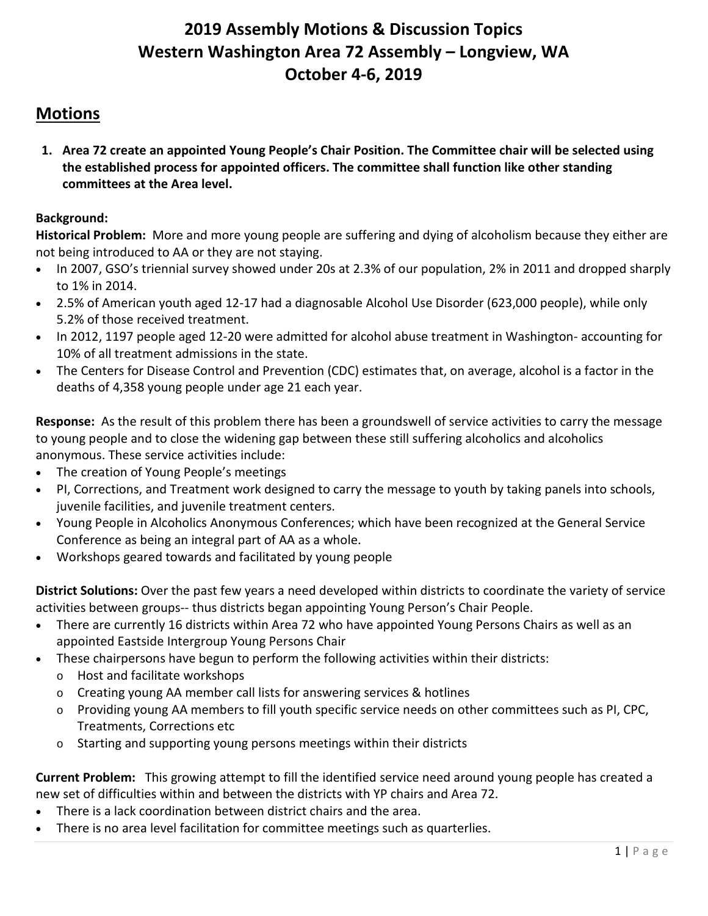# **2019 Assembly Motions & Discussion Topics Western Washington Area 72 Assembly – Longview, WA October 4-6, 2019**

# **Motions**

**1. Area 72 create an appointed Young People's Chair Position. The Committee chair will be selected using the established process for appointed officers. The committee shall function like other standing committees at the Area level.**

# **Background:**

**Historical Problem:** More and more young people are suffering and dying of alcoholism because they either are not being introduced to AA or they are not staying.

- In 2007, GSO's triennial survey showed under 20s at 2.3% of our population, 2% in 2011 and dropped sharply to 1% in 2014.
- 2.5% of American youth aged 12-17 had a diagnosable Alcohol Use Disorder (623,000 people), while only 5.2% of those received treatment.
- In 2012, 1197 people aged 12-20 were admitted for alcohol abuse treatment in Washington- accounting for 10% of all treatment admissions in the state.
- The Centers for Disease Control and Prevention (CDC) estimates that, on average, alcohol is a factor in the deaths of 4,358 young people under age 21 each year.

**Response:** As the result of this problem there has been a groundswell of service activities to carry the message to young people and to close the widening gap between these still suffering alcoholics and alcoholics anonymous. These service activities include:

- The creation of Young People's meetings
- PI, Corrections, and Treatment work designed to carry the message to youth by taking panels into schools, juvenile facilities, and juvenile treatment centers.
- Young People in Alcoholics Anonymous Conferences; which have been recognized at the General Service Conference as being an integral part of AA as a whole.
- Workshops geared towards and facilitated by young people

**District Solutions:** Over the past few years a need developed within districts to coordinate the variety of service activities between groups-- thus districts began appointing Young Person's Chair People.

- There are currently 16 districts within Area 72 who have appointed Young Persons Chairs as well as an appointed Eastside Intergroup Young Persons Chair
- These chairpersons have begun to perform the following activities within their districts:
	- o Host and facilitate workshops
	- o Creating young AA member call lists for answering services & hotlines
	- o Providing young AA members to fill youth specific service needs on other committees such as PI, CPC, Treatments, Corrections etc
	- o Starting and supporting young persons meetings within their districts

**Current Problem:** This growing attempt to fill the identified service need around young people has created a new set of difficulties within and between the districts with YP chairs and Area 72.

- There is a lack coordination between district chairs and the area.
- There is no area level facilitation for committee meetings such as quarterlies.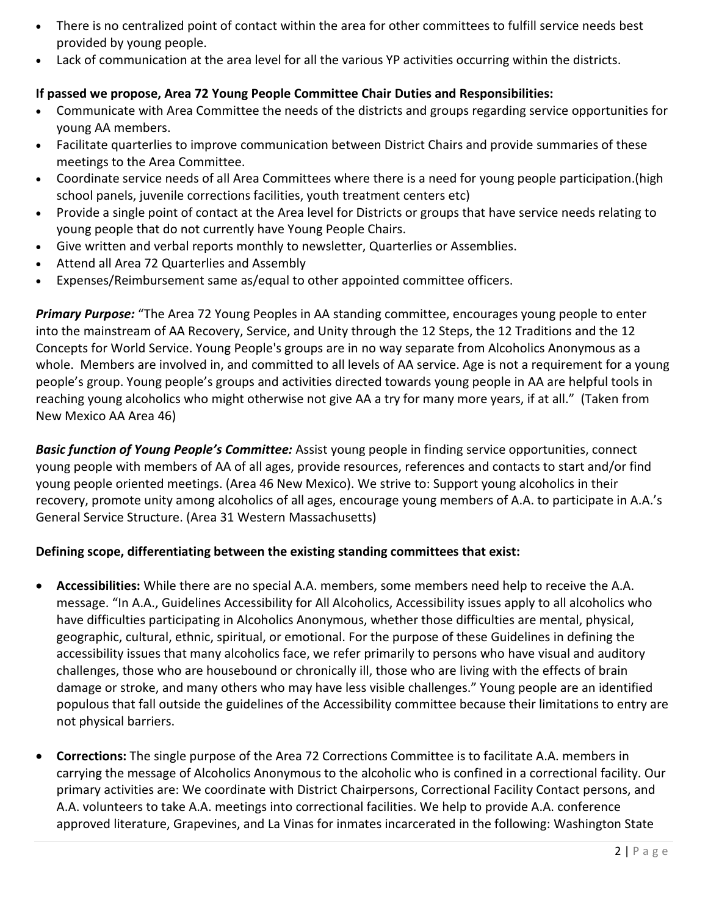- There is no centralized point of contact within the area for other committees to fulfill service needs best provided by young people.
- Lack of communication at the area level for all the various YP activities occurring within the districts.

# **If passed we propose, Area 72 Young People Committee Chair Duties and Responsibilities:**

- Communicate with Area Committee the needs of the districts and groups regarding service opportunities for young AA members.
- Facilitate quarterlies to improve communication between District Chairs and provide summaries of these meetings to the Area Committee.
- Coordinate service needs of all Area Committees where there is a need for young people participation.(high school panels, juvenile corrections facilities, youth treatment centers etc)
- Provide a single point of contact at the Area level for Districts or groups that have service needs relating to young people that do not currently have Young People Chairs.
- Give written and verbal reports monthly to newsletter, Quarterlies or Assemblies.
- Attend all Area 72 Quarterlies and Assembly
- Expenses/Reimbursement same as/equal to other appointed committee officers.

*Primary Purpose:* "The Area 72 Young Peoples in AA standing committee, encourages young people to enter into the mainstream of AA Recovery, Service, and Unity through the 12 Steps, the 12 Traditions and the 12 Concepts for World Service. Young People's groups are in no way separate from Alcoholics Anonymous as a whole. Members are involved in, and committed to all levels of AA service. Age is not a requirement for a young people's group. Young people's groups and activities directed towards young people in AA are helpful tools in reaching young alcoholics who might otherwise not give AA a try for many more years, if at all." (Taken from New Mexico AA Area 46)

*Basic function of Young People's Committee:* Assist young people in finding service opportunities, connect young people with members of AA of all ages, provide resources, references and contacts to start and/or find young people oriented meetings. (Area 46 New Mexico). We strive to: Support young alcoholics in their recovery, promote unity among alcoholics of all ages, encourage young members of A.A. to participate in A.A.'s General Service Structure. (Area 31 Western Massachusetts)

# **Defining scope, differentiating between the existing standing committees that exist:**

- **Accessibilities:** While there are no special A.A. members, some members need help to receive the A.A. message. "In A.A., Guidelines Accessibility for All Alcoholics, Accessibility issues apply to all alcoholics who have difficulties participating in Alcoholics Anonymous, whether those difficulties are mental, physical, geographic, cultural, ethnic, spiritual, or emotional. For the purpose of these Guidelines in defining the accessibility issues that many alcoholics face, we refer primarily to persons who have visual and auditory challenges, those who are housebound or chronically ill, those who are living with the effects of brain damage or stroke, and many others who may have less visible challenges." Young people are an identified populous that fall outside the guidelines of the Accessibility committee because their limitations to entry are not physical barriers.
- **Corrections:** The single purpose of the Area 72 Corrections Committee is to facilitate A.A. members in carrying the message of Alcoholics Anonymous to the alcoholic who is confined in a correctional facility. Our primary activities are: We coordinate with District Chairpersons, Correctional Facility Contact persons, and A.A. volunteers to take A.A. meetings into correctional facilities. We help to provide A.A. conference approved literature, Grapevines, and La Vinas for inmates incarcerated in the following: Washington State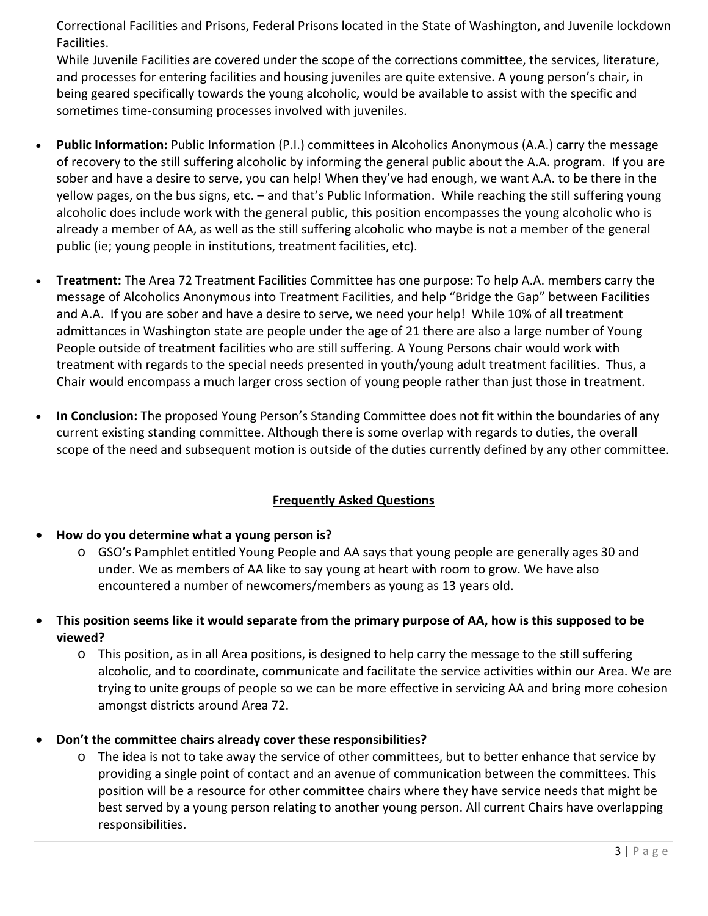Correctional Facilities and Prisons, Federal Prisons located in the State of Washington, and Juvenile lockdown Facilities.

While Juvenile Facilities are covered under the scope of the corrections committee, the services, literature, and processes for entering facilities and housing juveniles are quite extensive. A young person's chair, in being geared specifically towards the young alcoholic, would be available to assist with the specific and sometimes time-consuming processes involved with juveniles.

- **Public Information:** Public Information (P.I.) committees in Alcoholics Anonymous (A.A.) carry the message of recovery to the still suffering alcoholic by informing the general public about the A.A. program. If you are sober and have a desire to serve, you can help! When they've had enough, we want A.A. to be there in the yellow pages, on the bus signs, etc. – and that's Public Information. While reaching the still suffering young alcoholic does include work with the general public, this position encompasses the young alcoholic who is already a member of AA, as well as the still suffering alcoholic who maybe is not a member of the general public (ie; young people in institutions, treatment facilities, etc).
- **Treatment:** The Area 72 Treatment Facilities Committee has one purpose: To help A.A. members carry the message of Alcoholics Anonymous into Treatment Facilities, and help "Bridge the Gap" between Facilities and A.A. If you are sober and have a desire to serve, we need your help! While 10% of all treatment admittances in Washington state are people under the age of 21 there are also a large number of Young People outside of treatment facilities who are still suffering. A Young Persons chair would work with treatment with regards to the special needs presented in youth/young adult treatment facilities. Thus, a Chair would encompass a much larger cross section of young people rather than just those in treatment.
- **In Conclusion:** The proposed Young Person's Standing Committee does not fit within the boundaries of any current existing standing committee. Although there is some overlap with regards to duties, the overall scope of the need and subsequent motion is outside of the duties currently defined by any other committee.

# **Frequently Asked Questions**

- **How do you determine what a young person is?**
	- o GSO's Pamphlet entitled Young People and AA says that young people are generally ages 30 and under. We as members of AA like to say young at heart with room to grow. We have also encountered a number of newcomers/members as young as 13 years old.
- **This position seems like it would separate from the primary purpose of AA, how is this supposed to be viewed?**
	- o This position, as in all Area positions, is designed to help carry the message to the still suffering alcoholic, and to coordinate, communicate and facilitate the service activities within our Area. We are trying to unite groups of people so we can be more effective in servicing AA and bring more cohesion amongst districts around Area 72.
- **Don't the committee chairs already cover these responsibilities?**
	- o The idea is not to take away the service of other committees, but to better enhance that service by providing a single point of contact and an avenue of communication between the committees. This position will be a resource for other committee chairs where they have service needs that might be best served by a young person relating to another young person. All current Chairs have overlapping responsibilities.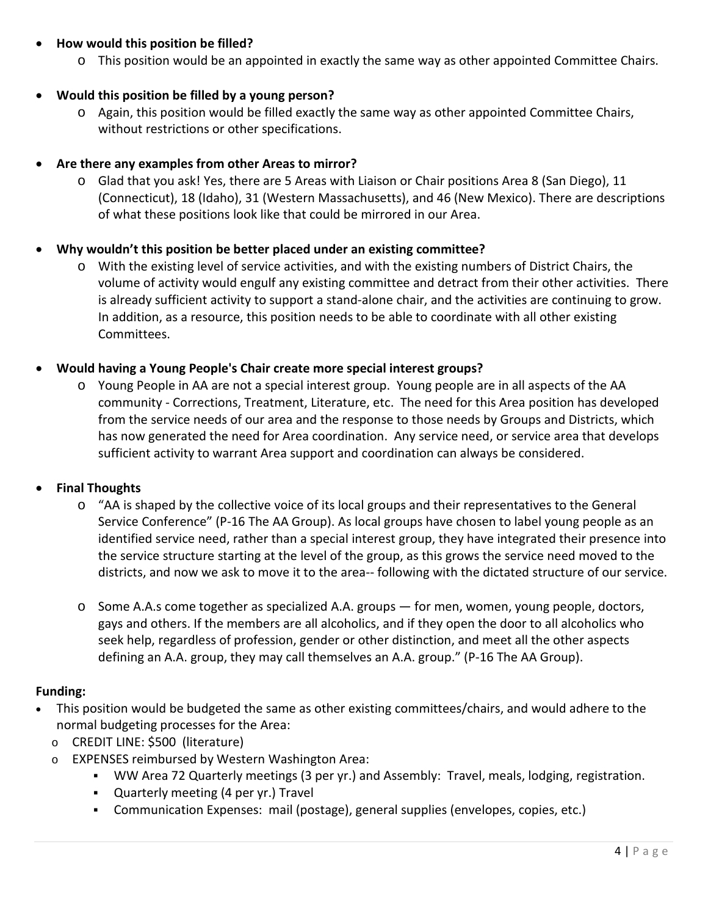# • **How would this position be filled?**

o This position would be an appointed in exactly the same way as other appointed Committee Chairs.

## • **Would this position be filled by a young person?**

o Again, this position would be filled exactly the same way as other appointed Committee Chairs, without restrictions or other specifications.

## • **Are there any examples from other Areas to mirror?**

o Glad that you ask! Yes, there are 5 Areas with Liaison or Chair positions Area 8 (San Diego), 11 (Connecticut), 18 (Idaho), 31 (Western Massachusetts), and 46 (New Mexico). There are descriptions of what these positions look like that could be mirrored in our Area.

## • **Why wouldn't this position be better placed under an existing committee?**

o With the existing level of service activities, and with the existing numbers of District Chairs, the volume of activity would engulf any existing committee and detract from their other activities. There is already sufficient activity to support a stand-alone chair, and the activities are continuing to grow. In addition, as a resource, this position needs to be able to coordinate with all other existing Committees.

## • **Would having a Young People's Chair create more special interest groups?**

o Young People in AA are not a special interest group. Young people are in all aspects of the AA community - Corrections, Treatment, Literature, etc. The need for this Area position has developed from the service needs of our area and the response to those needs by Groups and Districts, which has now generated the need for Area coordination. Any service need, or service area that develops sufficient activity to warrant Area support and coordination can always be considered.

## • **Final Thoughts**

- o "AA is shaped by the collective voice of its local groups and their representatives to the General Service Conference" (P-16 The AA Group). As local groups have chosen to label young people as an identified service need, rather than a special interest group, they have integrated their presence into the service structure starting at the level of the group, as this grows the service need moved to the districts, and now we ask to move it to the area-- following with the dictated structure of our service.
- o Some A.A.s come together as specialized A.A. groups for men, women, young people, doctors, gays and others. If the members are all alcoholics, and if they open the door to all alcoholics who seek help, regardless of profession, gender or other distinction, and meet all the other aspects defining an A.A. group, they may call themselves an A.A. group." (P-16 The AA Group).

## **Funding:**

- This position would be budgeted the same as other existing committees/chairs, and would adhere to the normal budgeting processes for the Area:
	- o CREDIT LINE: \$500 (literature)
	- o EXPENSES reimbursed by Western Washington Area:
		- WW Area 72 Quarterly meetings (3 per yr.) and Assembly: Travel, meals, lodging, registration.
		- Quarterly meeting (4 per yr.) Travel
		- Communication Expenses: mail (postage), general supplies (envelopes, copies, etc.)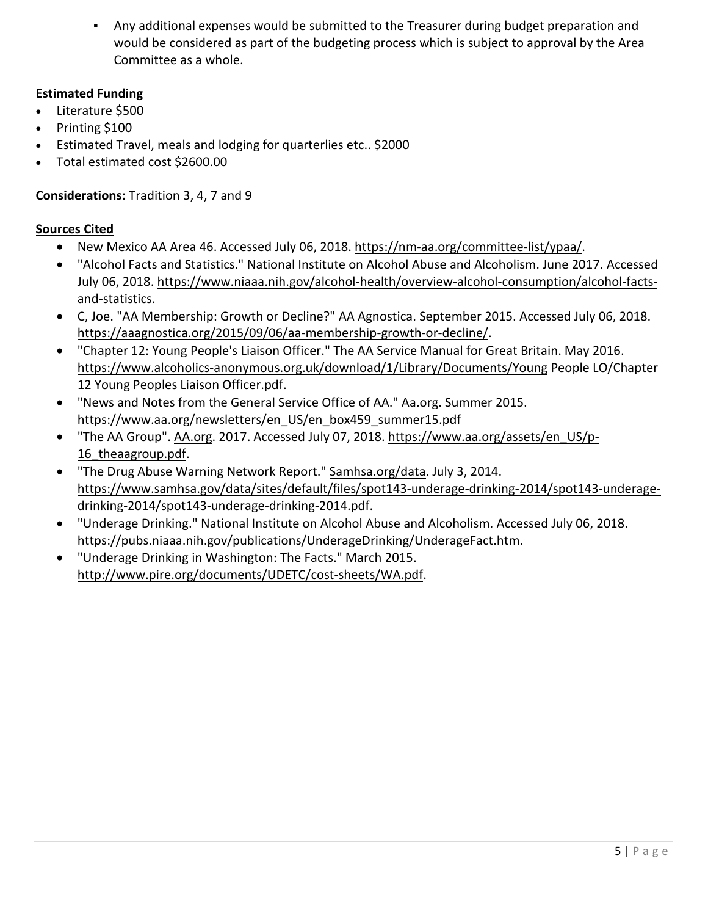Any additional expenses would be submitted to the Treasurer during budget preparation and would be considered as part of the budgeting process which is subject to approval by the Area Committee as a whole.

# **Estimated Funding**

- Literature \$500
- Printing \$100
- Estimated Travel, meals and lodging for quarterlies etc.. \$2000
- Total estimated cost \$2600.00

# **Considerations:** Tradition 3, 4, 7 and 9

# **Sources Cited**

- New Mexico AA Area 46. Accessed July 06, 2018. [https://nm-aa.org/committee-list/ypaa/.](https://nm-aa.org/committee-list/ypaa/)
- "Alcohol Facts and Statistics." National Institute on Alcohol Abuse and Alcoholism. June 2017. Accessed July 06, 2018. [https://www.niaaa.nih.gov/alcohol-health/overview-alcohol-consumption/alcohol-facts](https://www.niaaa.nih.gov/alcohol-health/overview-alcohol-consumption/alcohol-facts-and-statistics)[and-statistics.](https://www.niaaa.nih.gov/alcohol-health/overview-alcohol-consumption/alcohol-facts-and-statistics)
- C, Joe. "AA Membership: Growth or Decline?" AA Agnostica. September 2015. Accessed July 06, 2018. [https://aaagnostica.org/2015/09/06/aa-membership-growth-or-decline/.](https://aaagnostica.org/2015/09/06/aa-membership-growth-or-decline/)
- "Chapter 12: Young People's Liaison Officer." The AA Service Manual for Great Britain. May 2016. <https://www.alcoholics-anonymous.org.uk/download/1/Library/Documents/Young> People LO/Chapter 12 Young Peoples Liaison Officer.pdf.
- "News and Notes from the General Service Office of AA." [Aa.org.](http://aa.org/) Summer 2015. [https://www.aa.org/newsletters/en\\_US/en\\_box459\\_summer15.pdf](https://www.aa.org/newsletters/en_US/en_box459_summer15.pdf)
- "The AA Group". [AA.org.](http://aa.org/) 2017. Accessed July 07, 2018. [https://www.aa.org/assets/en\\_US/p-](https://www.aa.org/assets/en_US/p-16_theaagroup.pdf)16 theaagroup.pdf.
- "The Drug Abuse Warning Network Report." [Samhsa.org/data.](http://samhsa.org/data) July 3, 2014. [https://www.samhsa.gov/data/sites/default/files/spot143-underage-drinking-2014/spot143-underage](https://www.samhsa.gov/data/sites/default/files/spot143-underage-drinking-2014/spot143-underage-drinking-2014/spot143-underage-drinking-2014.pdf)[drinking-2014/spot143-underage-drinking-2014.pdf.](https://www.samhsa.gov/data/sites/default/files/spot143-underage-drinking-2014/spot143-underage-drinking-2014/spot143-underage-drinking-2014.pdf)
- "Underage Drinking." National Institute on Alcohol Abuse and Alcoholism. Accessed July 06, 2018. [https://pubs.niaaa.nih.gov/publications/UnderageDrinking/UnderageFact.htm.](https://pubs.niaaa.nih.gov/publications/UnderageDrinking/UnderageFact.htm)
- "Underage Drinking in Washington: The Facts." March 2015. [http://www.pire.org/documents/UDETC/cost-sheets/WA.pdf.](http://www.pire.org/documents/UDETC/cost-sheets/WA.pdf)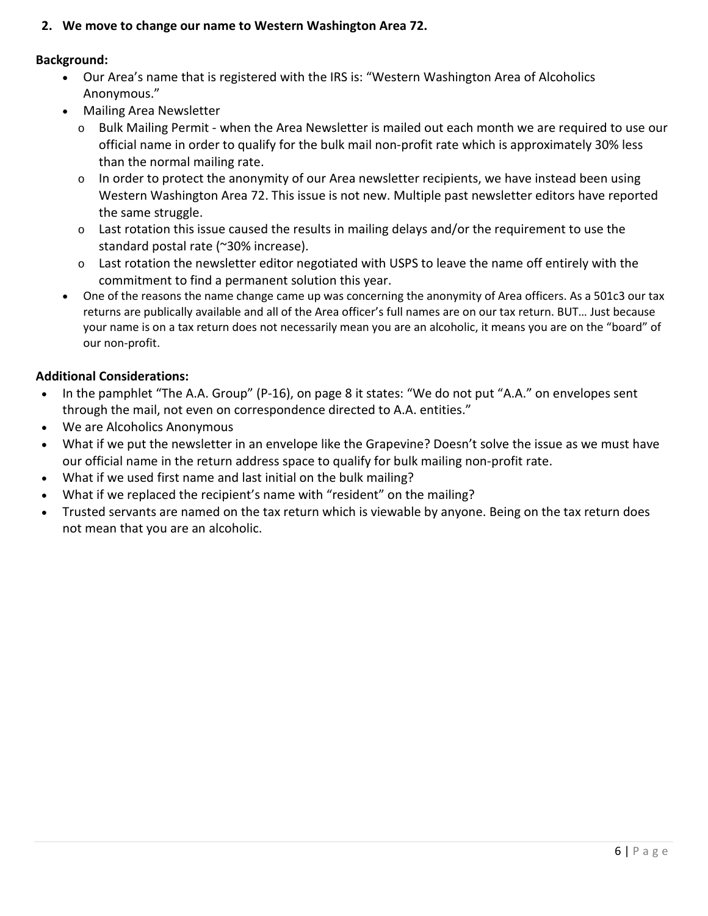**2. We move to change our name to Western Washington Area 72.**

## **Background:**

- Our Area's name that is registered with the IRS is: "Western Washington Area of Alcoholics Anonymous."
- Mailing Area Newsletter
	- o Bulk Mailing Permit when the Area Newsletter is mailed out each month we are required to use our official name in order to qualify for the bulk mail non-profit rate which is approximately 30% less than the normal mailing rate.
	- $\circ$  In order to protect the anonymity of our Area newsletter recipients, we have instead been using Western Washington Area 72. This issue is not new. Multiple past newsletter editors have reported the same struggle.
	- $\circ$  Last rotation this issue caused the results in mailing delays and/or the requirement to use the standard postal rate (~30% increase).
	- $\circ$  Last rotation the newsletter editor negotiated with USPS to leave the name off entirely with the commitment to find a permanent solution this year.
- One of the reasons the name change came up was concerning the anonymity of Area officers. As a 501c3 our tax returns are publically available and all of the Area officer's full names are on our tax return. BUT… Just because your name is on a tax return does not necessarily mean you are an alcoholic, it means you are on the "board" of our non-profit.

# **Additional Considerations:**

- In the pamphlet "The A.A. Group" (P-16), on page 8 it states: "We do not put "A.A." on envelopes sent through the mail, not even on correspondence directed to A.A. entities."
- We are Alcoholics Anonymous
- What if we put the newsletter in an envelope like the Grapevine? Doesn't solve the issue as we must have our official name in the return address space to qualify for bulk mailing non-profit rate.
- What if we used first name and last initial on the bulk mailing?
- What if we replaced the recipient's name with "resident" on the mailing?
- Trusted servants are named on the tax return which is viewable by anyone. Being on the tax return does not mean that you are an alcoholic.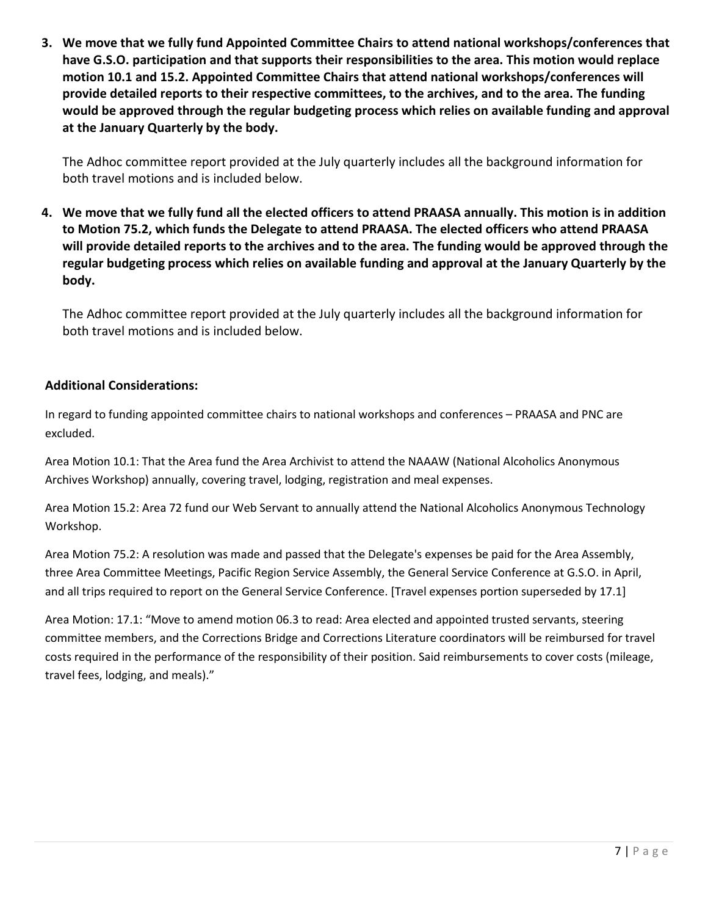**3. We move that we fully fund Appointed Committee Chairs to attend national workshops/conferences that have G.S.O. participation and that supports their responsibilities to the area. This motion would replace motion 10.1 and 15.2. Appointed Committee Chairs that attend national workshops/conferences will provide detailed reports to their respective committees, to the archives, and to the area. The funding would be approved through the regular budgeting process which relies on available funding and approval at the January Quarterly by the body.** 

The Adhoc committee report provided at the July quarterly includes all the background information for both travel motions and is included below.

**4. We move that we fully fund all the elected officers to attend PRAASA annually. This motion is in addition to Motion 75.2, which funds the Delegate to attend PRAASA. The elected officers who attend PRAASA will provide detailed reports to the archives and to the area. The funding would be approved through the regular budgeting process which relies on available funding and approval at the January Quarterly by the body.** 

The Adhoc committee report provided at the July quarterly includes all the background information for both travel motions and is included below.

# **Additional Considerations:**

In regard to funding appointed committee chairs to national workshops and conferences – PRAASA and PNC are excluded.

Area Motion 10.1: That the Area fund the Area Archivist to attend the NAAAW (National Alcoholics Anonymous Archives Workshop) annually, covering travel, lodging, registration and meal expenses.

Area Motion 15.2: Area 72 fund our Web Servant to annually attend the National Alcoholics Anonymous Technology Workshop.

Area Motion 75.2: A resolution was made and passed that the Delegate's expenses be paid for the Area Assembly, three Area Committee Meetings, Pacific Region Service Assembly, the General Service Conference at G.S.O. in April, and all trips required to report on the General Service Conference. [Travel expenses portion superseded by 17.1]

Area Motion: 17.1: "Move to amend motion 06.3 to read: Area elected and appointed trusted servants, steering committee members, and the Corrections Bridge and Corrections Literature coordinators will be reimbursed for travel costs required in the performance of the responsibility of their position. Said reimbursements to cover costs (mileage, travel fees, lodging, and meals)."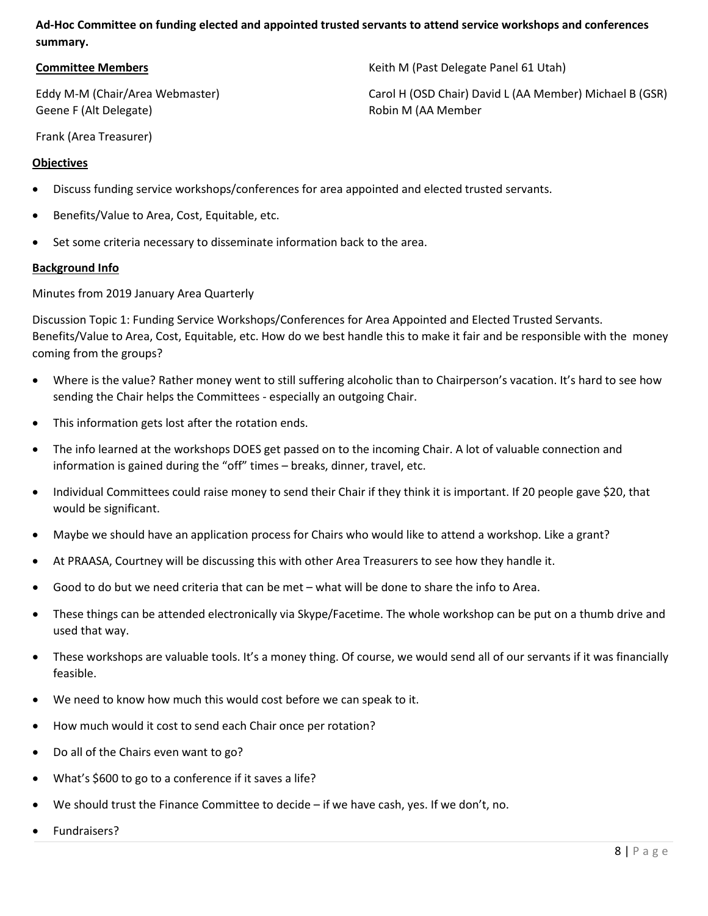## **Ad-Hoc Committee on funding elected and appointed trusted servants to attend service workshops and conferences summary.**

#### **Committee Members**

Eddy M-M (Chair/Area Webmaster) Geene F (Alt Delegate)

Keith M (Past Delegate Panel 61 Utah)

Carol H (OSD Chair) David L (AA Member) Michael B (GSR) Robin M (AA Member

Frank (Area Treasurer)

#### **Objectives**

- Discuss funding service workshops/conferences for area appointed and elected trusted servants.
- Benefits/Value to Area, Cost, Equitable, etc.
- Set some criteria necessary to disseminate information back to the area.

#### **Background Info**

Minutes from 2019 January Area Quarterly

Discussion Topic 1: Funding Service Workshops/Conferences for Area Appointed and Elected Trusted Servants. Benefits/Value to Area, Cost, Equitable, etc. How do we best handle this to make it fair and be responsible with the money coming from the groups?

- Where is the value? Rather money went to still suffering alcoholic than to Chairperson's vacation. It's hard to see how sending the Chair helps the Committees - especially an outgoing Chair.
- This information gets lost after the rotation ends.
- The info learned at the workshops DOES get passed on to the incoming Chair. A lot of valuable connection and information is gained during the "off" times – breaks, dinner, travel, etc.
- Individual Committees could raise money to send their Chair if they think it is important. If 20 people gave \$20, that would be significant.
- Maybe we should have an application process for Chairs who would like to attend a workshop. Like a grant?
- At PRAASA, Courtney will be discussing this with other Area Treasurers to see how they handle it.
- Good to do but we need criteria that can be met what will be done to share the info to Area.
- These things can be attended electronically via Skype/Facetime. The whole workshop can be put on a thumb drive and used that way.
- These workshops are valuable tools. It's a money thing. Of course, we would send all of our servants if it was financially feasible.
- We need to know how much this would cost before we can speak to it.
- How much would it cost to send each Chair once per rotation?
- Do all of the Chairs even want to go?
- What's \$600 to go to a conference if it saves a life?
- We should trust the Finance Committee to decide if we have cash, yes. If we don't, no.
- Fundraisers?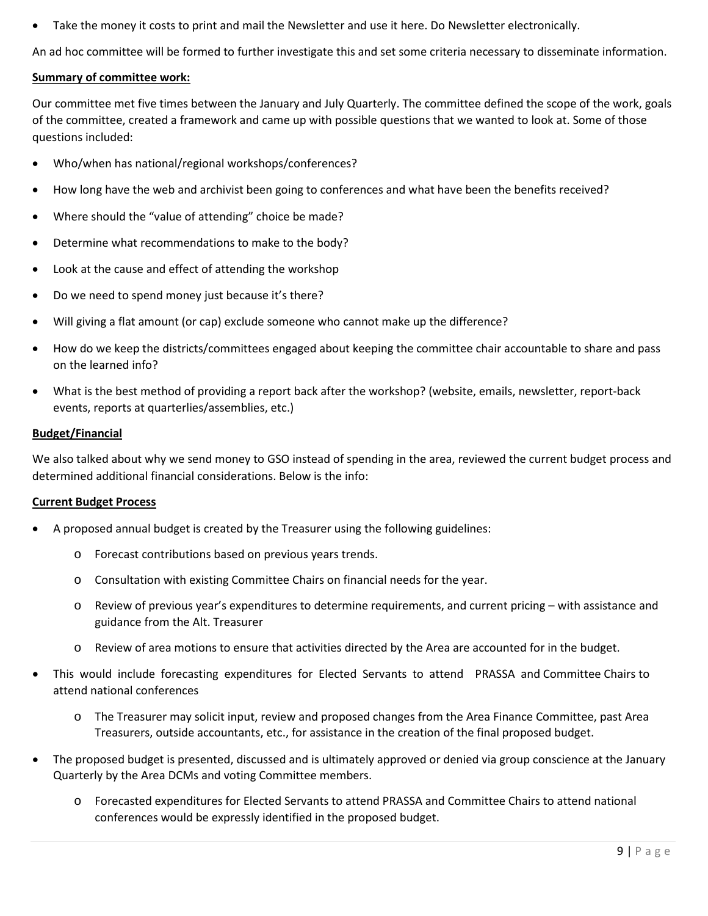• Take the money it costs to print and mail the Newsletter and use it here. Do Newsletter electronically.

An ad hoc committee will be formed to further investigate this and set some criteria necessary to disseminate information.

#### **Summary of committee work:**

Our committee met five times between the January and July Quarterly. The committee defined the scope of the work, goals of the committee, created a framework and came up with possible questions that we wanted to look at. Some of those questions included:

- Who/when has national/regional workshops/conferences?
- How long have the web and archivist been going to conferences and what have been the benefits received?
- Where should the "value of attending" choice be made?
- Determine what recommendations to make to the body?
- Look at the cause and effect of attending the workshop
- Do we need to spend money just because it's there?
- Will giving a flat amount (or cap) exclude someone who cannot make up the difference?
- How do we keep the districts/committees engaged about keeping the committee chair accountable to share and pass on the learned info?
- What is the best method of providing a report back after the workshop? (website, emails, newsletter, report-back events, reports at quarterlies/assemblies, etc.)

#### **Budget/Financial**

We also talked about why we send money to GSO instead of spending in the area, reviewed the current budget process and determined additional financial considerations. Below is the info:

#### **Current Budget Process**

- A proposed annual budget is created by the Treasurer using the following guidelines:
	- o Forecast contributions based on previous years trends.
	- o Consultation with existing Committee Chairs on financial needs for the year.
	- o Review of previous year's expenditures to determine requirements, and current pricing with assistance and guidance from the Alt. Treasurer
	- o Review of area motions to ensure that activities directed by the Area are accounted for in the budget.
- This would include forecasting expenditures for Elected Servants to attend PRASSA and Committee Chairs to attend national conferences
	- o The Treasurer may solicit input, review and proposed changes from the Area Finance Committee, past Area Treasurers, outside accountants, etc., for assistance in the creation of the final proposed budget.
- The proposed budget is presented, discussed and is ultimately approved or denied via group conscience at the January Quarterly by the Area DCMs and voting Committee members.
	- o Forecasted expenditures for Elected Servants to attend PRASSA and Committee Chairs to attend national conferences would be expressly identified in the proposed budget.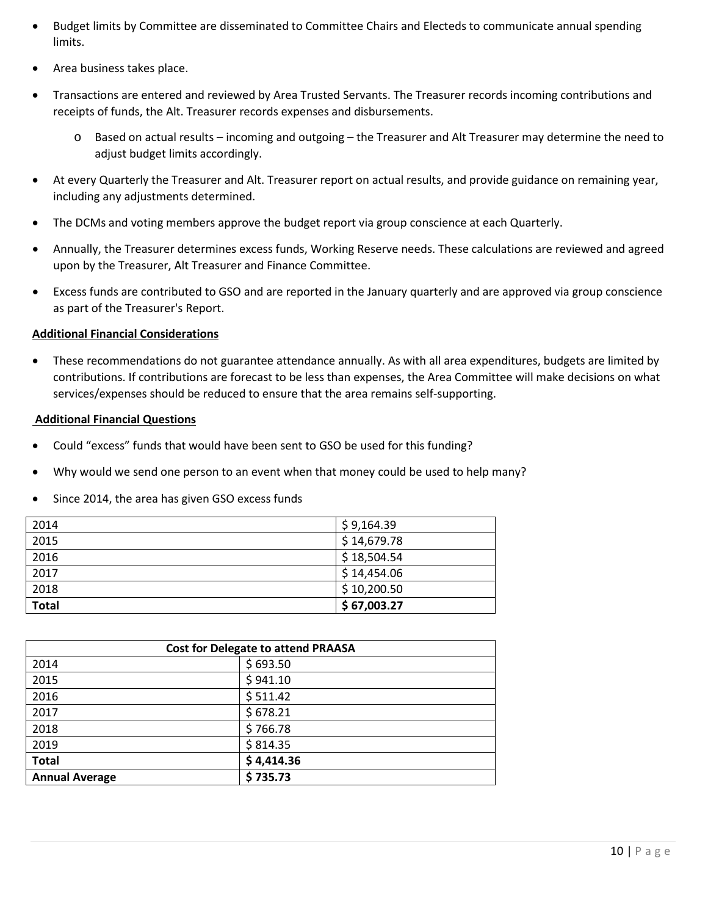- Budget limits by Committee are disseminated to Committee Chairs and Electeds to communicate annual spending limits.
- Area business takes place.
- Transactions are entered and reviewed by Area Trusted Servants. The Treasurer records incoming contributions and receipts of funds, the Alt. Treasurer records expenses and disbursements.
	- o Based on actual results incoming and outgoing the Treasurer and Alt Treasurer may determine the need to adjust budget limits accordingly.
- At every Quarterly the Treasurer and Alt. Treasurer report on actual results, and provide guidance on remaining year, including any adjustments determined.
- The DCMs and voting members approve the budget report via group conscience at each Quarterly.
- Annually, the Treasurer determines excess funds, Working Reserve needs. These calculations are reviewed and agreed upon by the Treasurer, Alt Treasurer and Finance Committee.
- Excess funds are contributed to GSO and are reported in the January quarterly and are approved via group conscience as part of the Treasurer's Report.

#### **Additional Financial Considerations**

• These recommendations do not guarantee attendance annually. As with all area expenditures, budgets are limited by contributions. If contributions are forecast to be less than expenses, the Area Committee will make decisions on what services/expenses should be reduced to ensure that the area remains self-supporting.

## **Additional Financial Questions**

- Could "excess" funds that would have been sent to GSO be used for this funding?
- Why would we send one person to an event when that money could be used to help many?
- Since 2014, the area has given GSO excess funds

| 2014         | \$9,164.39  |
|--------------|-------------|
| 2015         | \$14,679.78 |
| 2016         | \$18,504.54 |
| 2017         | \$14,454.06 |
| 2018         | \$10,200.50 |
| <b>Total</b> | \$67,003.27 |

| <b>Cost for Delegate to attend PRAASA</b> |            |  |
|-------------------------------------------|------------|--|
| 2014                                      | \$693.50   |  |
| 2015                                      | \$941.10   |  |
| 2016                                      | \$511.42   |  |
| 2017                                      | \$678.21   |  |
| 2018                                      | \$766.78   |  |
| 2019                                      | \$814.35   |  |
| <b>Total</b>                              | \$4,414.36 |  |
| <b>Annual Average</b>                     | \$735.73   |  |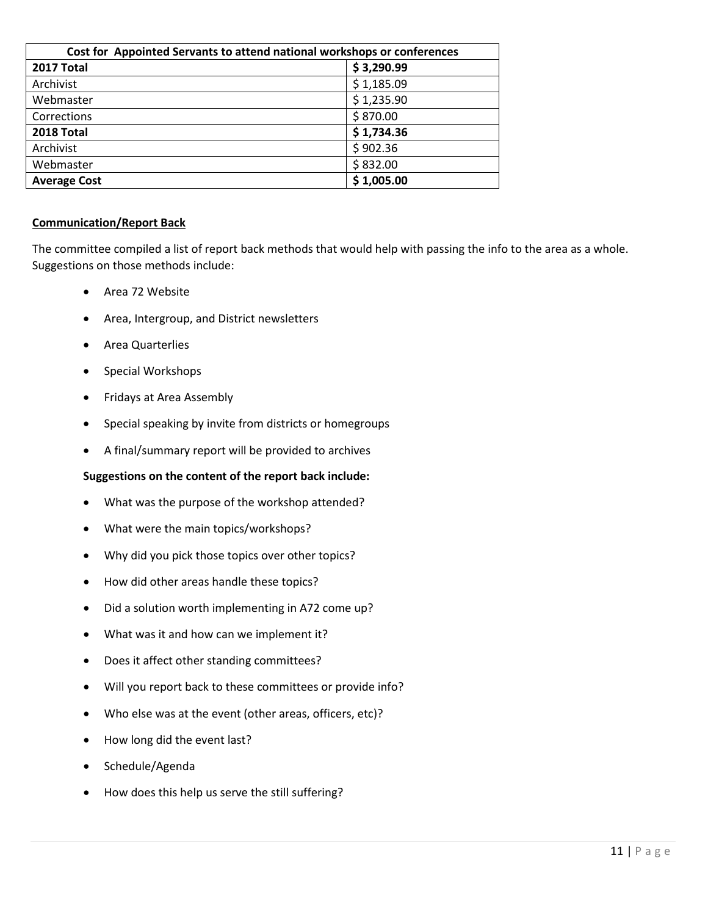| Cost for Appointed Servants to attend national workshops or conferences |            |  |
|-------------------------------------------------------------------------|------------|--|
| 2017 Total                                                              | \$3,290.99 |  |
| Archivist                                                               | \$1,185.09 |  |
| Webmaster                                                               | \$1,235.90 |  |
| Corrections                                                             | \$870.00   |  |
| 2018 Total                                                              | \$1,734.36 |  |
| Archivist                                                               | \$902.36   |  |
| Webmaster                                                               | \$832.00   |  |
| <b>Average Cost</b>                                                     | \$1,005.00 |  |

#### **Communication/Report Back**

The committee compiled a list of report back methods that would help with passing the info to the area as a whole. Suggestions on those methods include:

- Area 72 Website
- Area, Intergroup, and District newsletters
- Area Quarterlies
- Special Workshops
- Fridays at Area Assembly
- Special speaking by invite from districts or homegroups
- A final/summary report will be provided to archives

#### **Suggestions on the content of the report back include:**

- What was the purpose of the workshop attended?
- What were the main topics/workshops?
- Why did you pick those topics over other topics?
- How did other areas handle these topics?
- Did a solution worth implementing in A72 come up?
- What was it and how can we implement it?
- Does it affect other standing committees?
- Will you report back to these committees or provide info?
- Who else was at the event (other areas, officers, etc)?
- How long did the event last?
- Schedule/Agenda
- How does this help us serve the still suffering?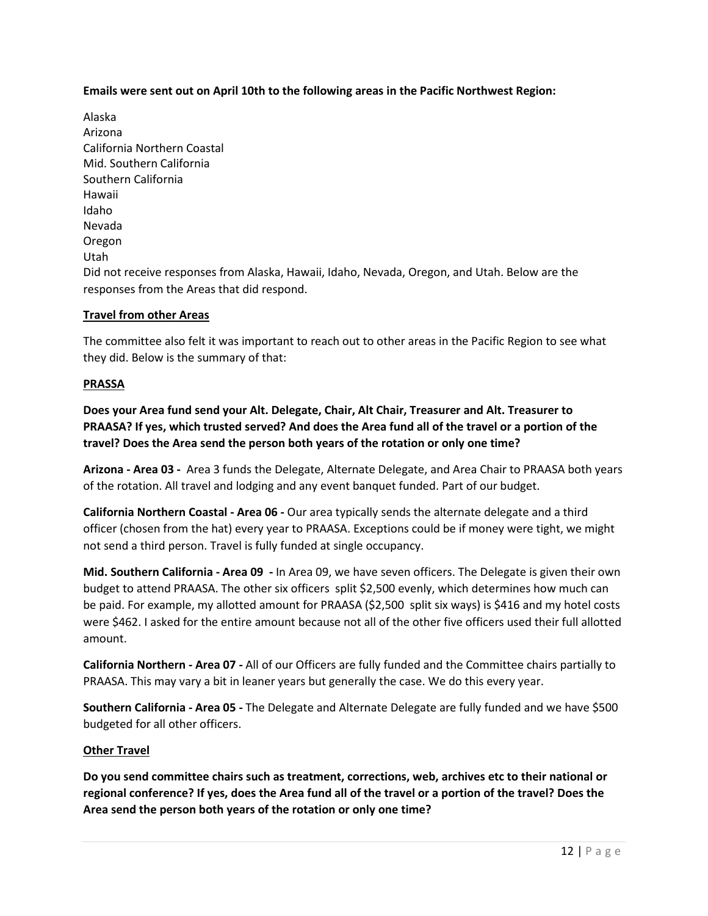**Emails were sent out on April 10th to the following areas in the Pacific Northwest Region:**

Alaska Arizona California Northern Coastal Mid. Southern California Southern California Hawaii Idaho Nevada Oregon Utah Did not receive responses from Alaska, Hawaii, Idaho, Nevada, Oregon, and Utah. Below are the responses from the Areas that did respond.

## **Travel from other Areas**

The committee also felt it was important to reach out to other areas in the Pacific Region to see what they did. Below is the summary of that:

### **PRASSA**

**Does your Area fund send your Alt. Delegate, Chair, Alt Chair, Treasurer and Alt. Treasurer to PRAASA? If yes, which trusted served? And does the Area fund all of the travel or a portion of the travel? Does the Area send the person both years of the rotation or only one time?**

**Arizona - Area 03 -** Area 3 funds the Delegate, Alternate Delegate, and Area Chair to PRAASA both years of the rotation. All travel and lodging and any event banquet funded. Part of our budget.

**California Northern Coastal - Area 06 -** Our area typically sends the alternate delegate and a third officer (chosen from the hat) every year to PRAASA. Exceptions could be if money were tight, we might not send a third person. Travel is fully funded at single occupancy.

**Mid. Southern California - Area 09 -** In Area 09, we have seven officers. The Delegate is given their own budget to attend PRAASA. The other six officers split \$2,500 evenly, which determines how much can be paid. For example, my allotted amount for PRAASA (\$2,500 split six ways) is \$416 and my hotel costs were \$462. I asked for the entire amount because not all of the other five officers used their full allotted amount.

**California Northern - Area 07 -** All of our Officers are fully funded and the Committee chairs partially to PRAASA. This may vary a bit in leaner years but generally the case. We do this every year.

**Southern California - Area 05 -** The Delegate and Alternate Delegate are fully funded and we have \$500 budgeted for all other officers.

#### **Other Travel**

**Do you send committee chairs such as treatment, corrections, web, archives etc to their national or regional conference? If yes, does the Area fund all of the travel or a portion of the travel? Does the Area send the person both years of the rotation or only one time?**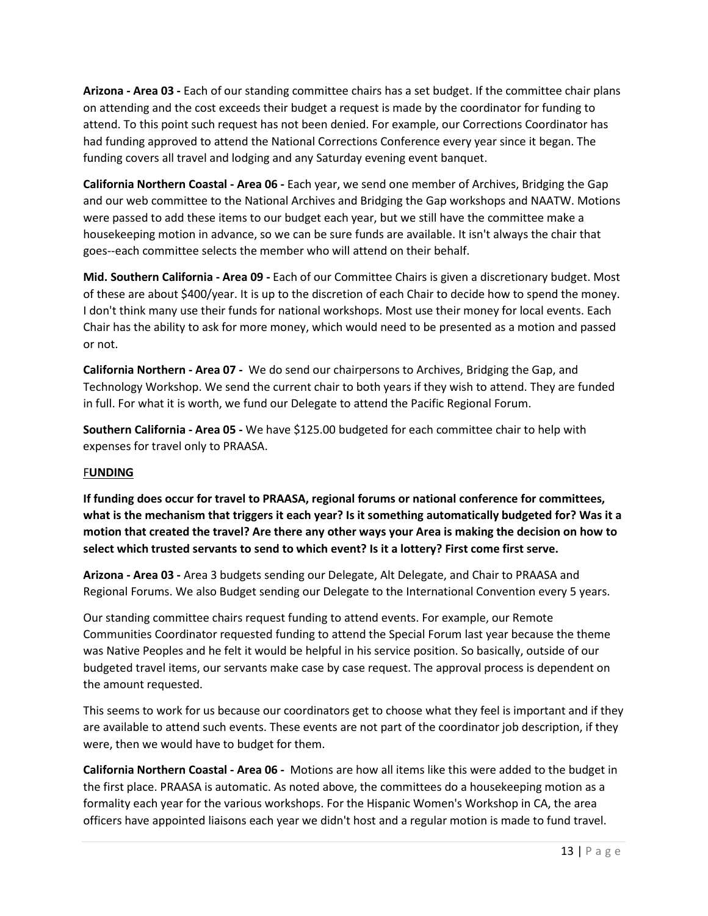**Arizona - Area 03 -** Each of our standing committee chairs has a set budget. If the committee chair plans on attending and the cost exceeds their budget a request is made by the coordinator for funding to attend. To this point such request has not been denied. For example, our Corrections Coordinator has had funding approved to attend the National Corrections Conference every year since it began. The funding covers all travel and lodging and any Saturday evening event banquet.

**California Northern Coastal - Area 06 -** Each year, we send one member of Archives, Bridging the Gap and our web committee to the National Archives and Bridging the Gap workshops and NAATW. Motions were passed to add these items to our budget each year, but we still have the committee make a housekeeping motion in advance, so we can be sure funds are available. It isn't always the chair that goes--each committee selects the member who will attend on their behalf.

**Mid. Southern California - Area 09 -** Each of our Committee Chairs is given a discretionary budget. Most of these are about \$400/year. It is up to the discretion of each Chair to decide how to spend the money. I don't think many use their funds for national workshops. Most use their money for local events. Each Chair has the ability to ask for more money, which would need to be presented as a motion and passed or not.

**California Northern - Area 07 -** We do send our chairpersons to Archives, Bridging the Gap, and Technology Workshop. We send the current chair to both years if they wish to attend. They are funded in full. For what it is worth, we fund our Delegate to attend the Pacific Regional Forum.

**Southern California - Area 05 -** We have \$125.00 budgeted for each committee chair to help with expenses for travel only to PRAASA.

#### F**UNDING**

**If funding does occur for travel to PRAASA, regional forums or national conference for committees, what is the mechanism that triggers it each year? Is it something automatically budgeted for? Was it a motion that created the travel? Are there any other ways your Area is making the decision on how to select which trusted servants to send to which event? Is it a lottery? First come first serve.**

**Arizona - Area 03 -** Area 3 budgets sending our Delegate, Alt Delegate, and Chair to PRAASA and Regional Forums. We also Budget sending our Delegate to the International Convention every 5 years.

Our standing committee chairs request funding to attend events. For example, our Remote Communities Coordinator requested funding to attend the Special Forum last year because the theme was Native Peoples and he felt it would be helpful in his service position. So basically, outside of our budgeted travel items, our servants make case by case request. The approval process is dependent on the amount requested.

This seems to work for us because our coordinators get to choose what they feel is important and if they are available to attend such events. These events are not part of the coordinator job description, if they were, then we would have to budget for them.

**California Northern Coastal - Area 06 -** Motions are how all items like this were added to the budget in the first place. PRAASA is automatic. As noted above, the committees do a housekeeping motion as a formality each year for the various workshops. For the Hispanic Women's Workshop in CA, the area officers have appointed liaisons each year we didn't host and a regular motion is made to fund travel.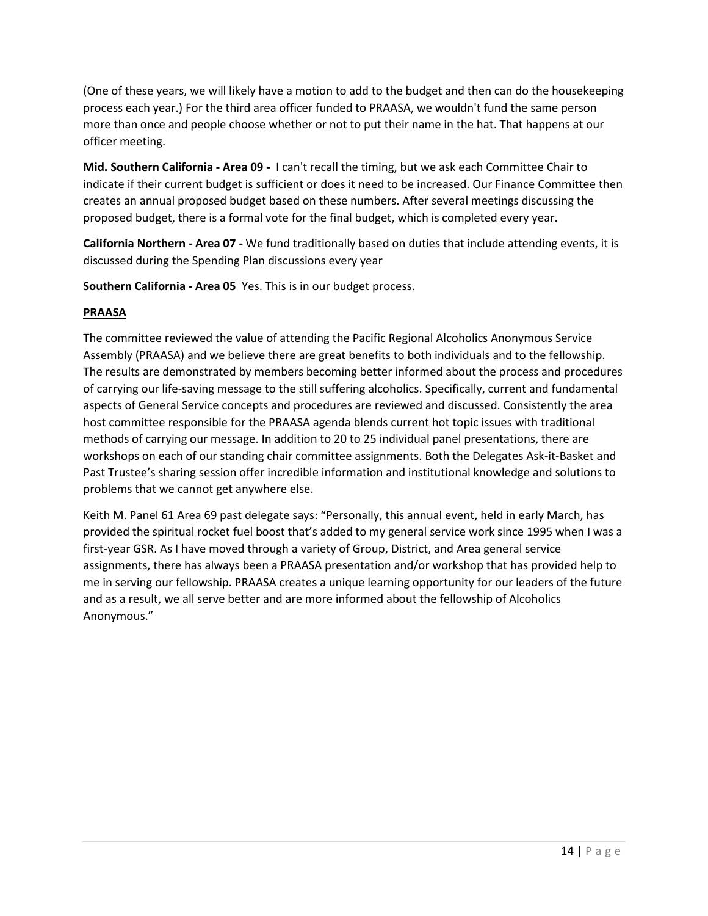(One of these years, we will likely have a motion to add to the budget and then can do the housekeeping process each year.) For the third area officer funded to PRAASA, we wouldn't fund the same person more than once and people choose whether or not to put their name in the hat. That happens at our officer meeting.

**Mid. Southern California - Area 09 -** I can't recall the timing, but we ask each Committee Chair to indicate if their current budget is sufficient or does it need to be increased. Our Finance Committee then creates an annual proposed budget based on these numbers. After several meetings discussing the proposed budget, there is a formal vote for the final budget, which is completed every year.

**California Northern - Area 07 -** We fund traditionally based on duties that include attending events, it is discussed during the Spending Plan discussions every year

**Southern California - Area 05** Yes. This is in our budget process.

## **PRAASA**

The committee reviewed the value of attending the Pacific Regional Alcoholics Anonymous Service Assembly (PRAASA) and we believe there are great benefits to both individuals and to the fellowship. The results are demonstrated by members becoming better informed about the process and procedures of carrying our life-saving message to the still suffering alcoholics. Specifically, current and fundamental aspects of General Service concepts and procedures are reviewed and discussed. Consistently the area host committee responsible for the PRAASA agenda blends current hot topic issues with traditional methods of carrying our message. In addition to 20 to 25 individual panel presentations, there are workshops on each of our standing chair committee assignments. Both the Delegates Ask-it-Basket and Past Trustee's sharing session offer incredible information and institutional knowledge and solutions to problems that we cannot get anywhere else.

Keith M. Panel 61 Area 69 past delegate says: "Personally, this annual event, held in early March, has provided the spiritual rocket fuel boost that's added to my general service work since 1995 when I was a first-year GSR. As I have moved through a variety of Group, District, and Area general service assignments, there has always been a PRAASA presentation and/or workshop that has provided help to me in serving our fellowship. PRAASA creates a unique learning opportunity for our leaders of the future and as a result, we all serve better and are more informed about the fellowship of Alcoholics Anonymous."